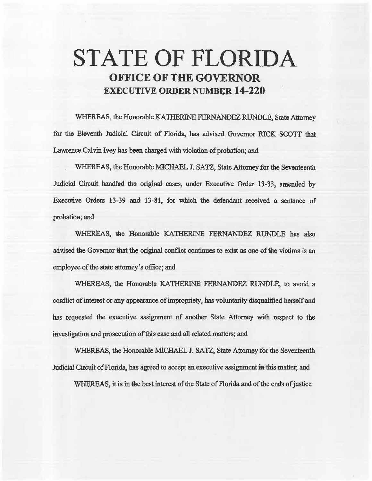## STATE OF FLORIDA OFFICE OF THE GOVERNOR EXECUTIVE ORDER NUMBER 14-220

WHEREAS, the Honorable KATHERINE FERNANDEZ RUNDLE, State Attorney for the Eleventh Judicial Circuit of Florida, has advised Governor RICK SCOTT that Lawrence Calvin Ivey has been charged with violation of probation; and

WHEREAS, the Honorable MICHAEL J. SATZ, State Attorney for the Seventeenth Judicial Circuit handled the original cases, under Executive Order 13-33, amended by Executive Orders 13-39 and 13-81, for which the defendant received a sentence of probation; and

WHEREAS, the Honorable KATHERINE FERNANDEZ RUNDLE has also advised the Governor that the original conflict continues to exist *as* one of the victims is an employee of the state attorney's office; and

WHEREAS, the Honorable KATHERINE FERNANDEZ RUNDLE, to avoid a conflict of interest or any appearance of impropriety, has voluntarily disqualified herself and has requested the executive assignment of another State Attorney with respect to the investigation and prosecution of this case and all related matters; and

WHEREAS, the Honorable MICHAEL J. SATZ, State Attorney for the Seventeenth Judicial Circuit of Florida, has agreed to accept an executive assignment in this matter; and

WHEREAS, it is in the best interest of the State of Florida and of the ends of justice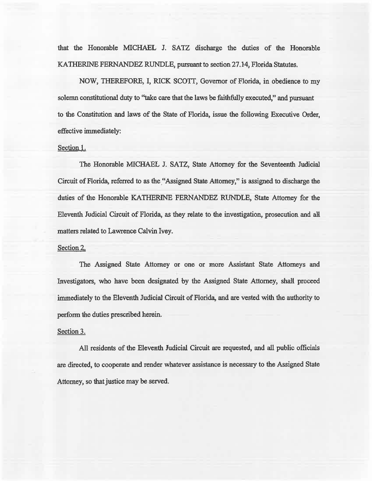that the Honorable MICHAEL J. SATZ discharge the duties of the Honorable KATHERINE FERNANDEZ RUNDLE, pursuant to section 27.14, Florida Statutes.

NOW, THEREFORE, I, RICK SCOTI, Governor of Florida, in obedience to my solemn constitutional duty to "take care that the laws be faithfully executed," and pursuant to the Constitution and laws of the State of Florida, issue the following Executive Order, effective immediately:

## Section<sub>1.</sub>

The Honorable MICHAEL J. SATZ, State Attorney for the Seventeenth Judicial Circuit of Florida, referred to as the "Assigned State Attorney," is assigned to discharge the duties of the Honorable KATHERINE FERNANDEZ RUNDLE, State Attorney for the Eleventh Judicial Circuit of Florida, as they relate to the investigation, prosecution. and all matters related to Lawrence Calvin Ivey.

## Section 2.

The Assigned State Attorney or one or more Assistant State Attorneys and Investigators, who have been designated by the Assigned State Attorney, shall proceed immediately to the Eleventh Judicial Circuit of Florida, and are vested with the authority to perfonn the duties prescribed herein.

## Section 3.

All residents of the Eleventh Judicial Circuit are requested, and all public officials are directed, to cooperate and render whatever assistance is necessary to the Assigned State Attorney, so that justice may be served.